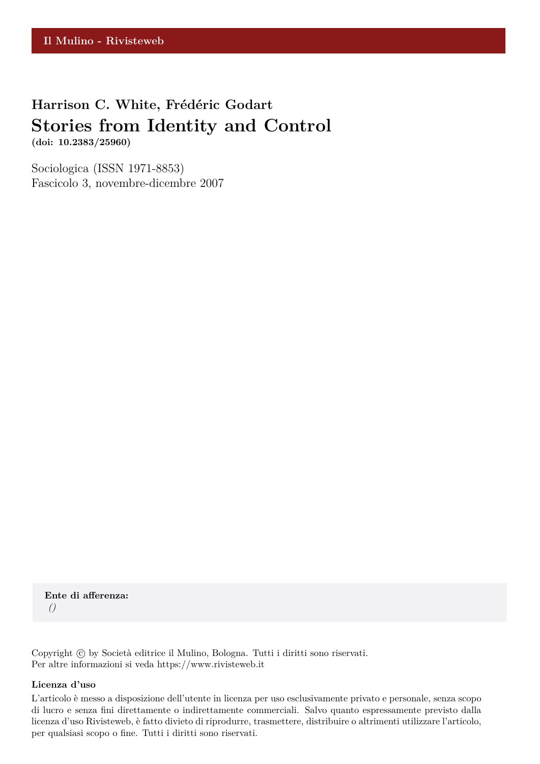# **Harrison C. White, Frédéric Godart Stories from Identity and Control (doi: 10.2383/25960)**

Sociologica (ISSN 1971-8853) Fascicolo 3, novembre-dicembre 2007

**Ente di afferenza:** *()*

Copyright © by Società editrice il Mulino, Bologna. Tutti i diritti sono riservati. Per altre informazioni si veda https://www.rivisteweb.it

#### **Licenza d'uso**

L'articolo è messo a disposizione dell'utente in licenza per uso esclusivamente privato e personale, senza scopo di lucro e senza fini direttamente o indirettamente commerciali. Salvo quanto espressamente previsto dalla licenza d'uso Rivisteweb, è fatto divieto di riprodurre, trasmettere, distribuire o altrimenti utilizzare l'articolo, per qualsiasi scopo o fine. Tutti i diritti sono riservati.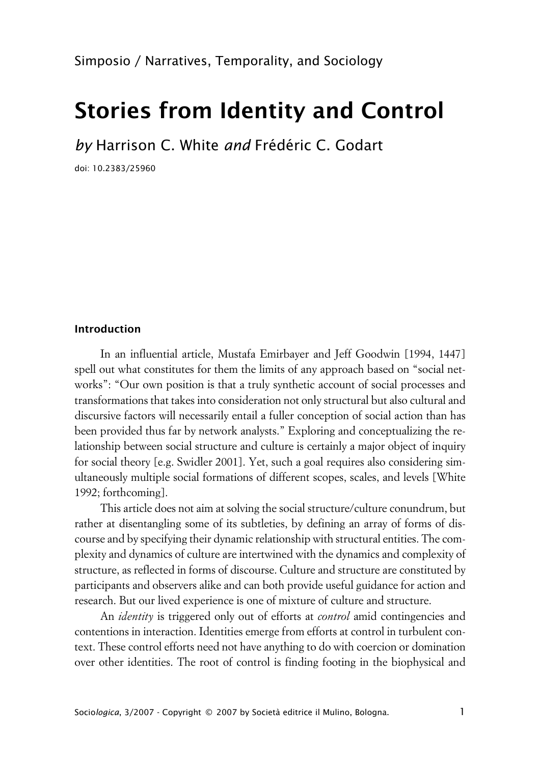# **Stories from Identity and Control**

*by* Harrison C. White *and* Frédéric C. Godart

doi: 10.2383/25960

#### **Introduction**

In an influential article, Mustafa Emirbayer and Jeff Goodwin [1994, 1447] spell out what constitutes for them the limits of any approach based on "social networks": "Our own position is that a truly synthetic account of social processes and transformations that takes into consideration not only structural but also cultural and discursive factors will necessarily entail a fuller conception of social action than has been provided thus far by network analysts." Exploring and conceptualizing the relationship between social structure and culture is certainly a major object of inquiry for social theory [e.g. Swidler 2001]. Yet, such a goal requires also considering simultaneously multiple social formations of different scopes, scales, and levels [White 1992; forthcoming].

This article does not aim at solving the social structure/culture conundrum, but rather at disentangling some of its subtleties, by defining an array of forms of discourse and by specifying their dynamic relationship with structural entities. The complexity and dynamics of culture are intertwined with the dynamics and complexity of structure, as reflected in forms of discourse. Culture and structure are constituted by participants and observers alike and can both provide useful guidance for action and research. But our lived experience is one of mixture of culture and structure.

An *identity* is triggered only out of efforts at *control* amid contingencies and contentions in interaction. Identities emerge from efforts at control in turbulent context. These control efforts need not have anything to do with coercion or domination over other identities. The root of control is finding footing in the biophysical and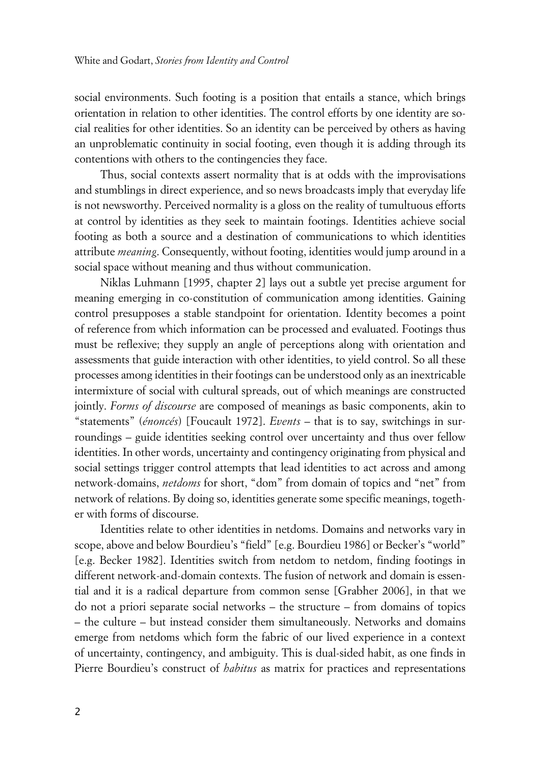social environments. Such footing is a position that entails a stance, which brings orientation in relation to other identities. The control efforts by one identity are social realities for other identities. So an identity can be perceived by others as having an unproblematic continuity in social footing, even though it is adding through its contentions with others to the contingencies they face.

Thus, social contexts assert normality that is at odds with the improvisations and stumblings in direct experience, and so news broadcasts imply that everyday life is not newsworthy. Perceived normality is a gloss on the reality of tumultuous efforts at control by identities as they seek to maintain footings. Identities achieve social footing as both a source and a destination of communications to which identities attribute *meaning*. Consequently, without footing, identities would jump around in a social space without meaning and thus without communication.

Niklas Luhmann [1995, chapter 2] lays out a subtle yet precise argument for meaning emerging in co-constitution of communication among identities. Gaining control presupposes a stable standpoint for orientation. Identity becomes a point of reference from which information can be processed and evaluated. Footings thus must be reflexive; they supply an angle of perceptions along with orientation and assessments that guide interaction with other identities, to yield control. So all these processes among identities in their footings can be understood only as an inextricable intermixture of social with cultural spreads, out of which meanings are constructed jointly. *Forms of discourse* are composed of meanings as basic components, akin to "statements" (*énoncés*) [Foucault 1972]. *Events* – that is to say, switchings in surroundings – guide identities seeking control over uncertainty and thus over fellow identities. In other words, uncertainty and contingency originating from physical and social settings trigger control attempts that lead identities to act across and among network-domains, *netdoms* for short, "dom" from domain of topics and "net" from network of relations. By doing so, identities generate some specific meanings, together with forms of discourse.

Identities relate to other identities in netdoms. Domains and networks vary in scope, above and below Bourdieu's "field" [e.g. Bourdieu 1986] or Becker's "world" [e.g. Becker 1982]. Identities switch from netdom to netdom, finding footings in different network-and-domain contexts. The fusion of network and domain is essential and it is a radical departure from common sense [Grabher 2006], in that we do not a priori separate social networks – the structure – from domains of topics – the culture – but instead consider them simultaneously. Networks and domains emerge from netdoms which form the fabric of our lived experience in a context of uncertainty, contingency, and ambiguity. This is dual-sided habit, as one finds in Pierre Bourdieu's construct of *habitus* as matrix for practices and representations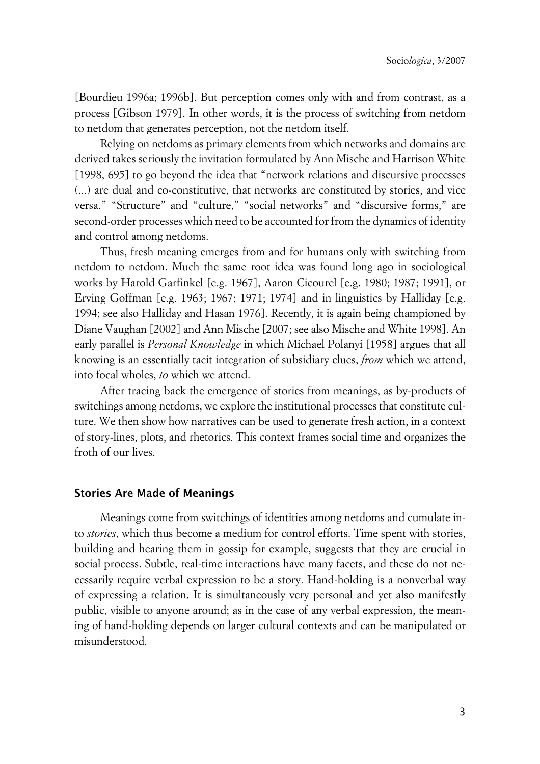[Bourdieu 1996a; 1996b]. But perception comes only with and from contrast, as a process [Gibson 1979]. In other words, it is the process of switching from netdom to netdom that generates perception, not the netdom itself.

Relying on netdoms as primary elements from which networks and domains are derived takes seriously the invitation formulated by Ann Mische and Harrison White [1998, 695] to go beyond the idea that "network relations and discursive processes (...) are dual and co-constitutive, that networks are constituted by stories, and vice versa." "Structure" and "culture," "social networks" and "discursive forms," are second-order processes which need to be accounted for from the dynamics of identity and control among netdoms.

Thus, fresh meaning emerges from and for humans only with switching from netdom to netdom. Much the same root idea was found long ago in sociological works by Harold Garfinkel [e.g. 1967], Aaron Cicourel [e.g. 1980; 1987; 1991], or Erving Goffman [e.g. 1963; 1967; 1971; 1974] and in linguistics by Halliday [e.g. 1994; see also Halliday and Hasan 1976]. Recently, it is again being championed by Diane Vaughan [2002] and Ann Mische [2007; see also Mische and White 1998]. An early parallel is *Personal Knowledge* in which Michael Polanyi [1958] argues that all knowing is an essentially tacit integration of subsidiary clues, *from* which we attend, into focal wholes, *to* which we attend.

After tracing back the emergence of stories from meanings, as by-products of switchings among netdoms, we explore the institutional processes that constitute culture. We then show how narratives can be used to generate fresh action, in a context of story-lines, plots, and rhetorics. This context frames social time and organizes the froth of our lives.

#### **Stories Are Made of Meanings**

Meanings come from switchings of identities among netdoms and cumulate into *stories*, which thus become a medium for control efforts. Time spent with stories, building and hearing them in gossip for example, suggests that they are crucial in social process. Subtle, real-time interactions have many facets, and these do not necessarily require verbal expression to be a story. Hand-holding is a nonverbal way of expressing a relation. It is simultaneously very personal and yet also manifestly public, visible to anyone around; as in the case of any verbal expression, the meaning of hand-holding depends on larger cultural contexts and can be manipulated or misunderstood.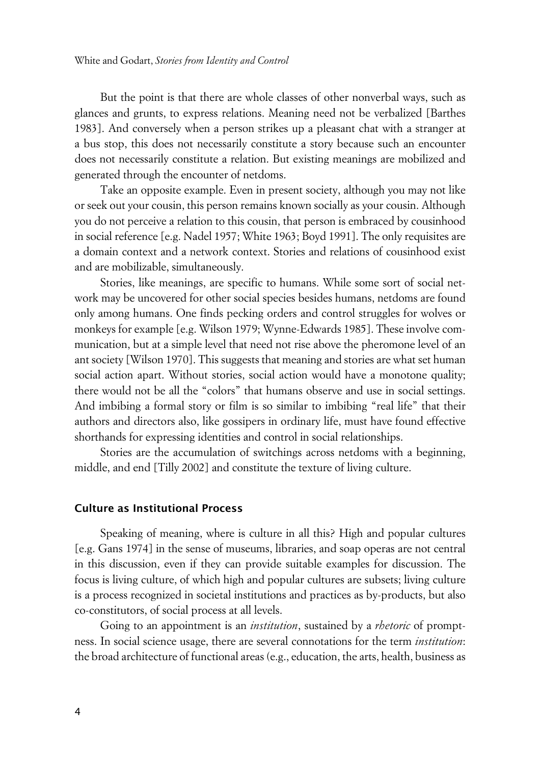But the point is that there are whole classes of other nonverbal ways, such as glances and grunts, to express relations. Meaning need not be verbalized [Barthes 1983]. And conversely when a person strikes up a pleasant chat with a stranger at a bus stop, this does not necessarily constitute a story because such an encounter does not necessarily constitute a relation. But existing meanings are mobilized and generated through the encounter of netdoms.

Take an opposite example. Even in present society, although you may not like or seek out your cousin, this person remains known socially as your cousin. Although you do not perceive a relation to this cousin, that person is embraced by cousinhood in social reference [e.g. Nadel 1957; White 1963; Boyd 1991]. The only requisites are a domain context and a network context. Stories and relations of cousinhood exist and are mobilizable, simultaneously.

Stories, like meanings, are specific to humans. While some sort of social network may be uncovered for other social species besides humans, netdoms are found only among humans. One finds pecking orders and control struggles for wolves or monkeys for example [e.g. Wilson 1979; Wynne-Edwards 1985]. These involve communication, but at a simple level that need not rise above the pheromone level of an ant society [Wilson 1970]. This suggests that meaning and stories are what set human social action apart. Without stories, social action would have a monotone quality; there would not be all the "colors" that humans observe and use in social settings. And imbibing a formal story or film is so similar to imbibing "real life" that their authors and directors also, like gossipers in ordinary life, must have found effective shorthands for expressing identities and control in social relationships.

Stories are the accumulation of switchings across netdoms with a beginning, middle, and end [Tilly 2002] and constitute the texture of living culture.

#### **xCulture as Institutional Process**

Speaking of meaning, where is culture in all this? High and popular cultures [e.g. Gans 1974] in the sense of museums, libraries, and soap operas are not central in this discussion, even if they can provide suitable examples for discussion. The focus is living culture, of which high and popular cultures are subsets; living culture is a process recognized in societal institutions and practices as by-products, but also co-constitutors, of social process at all levels.

Going to an appointment is an *institution*, sustained by a *rhetoric* of promptness. In social science usage, there are several connotations for the term *institution*: the broad architecture of functional areas (e.g., education, the arts, health, business as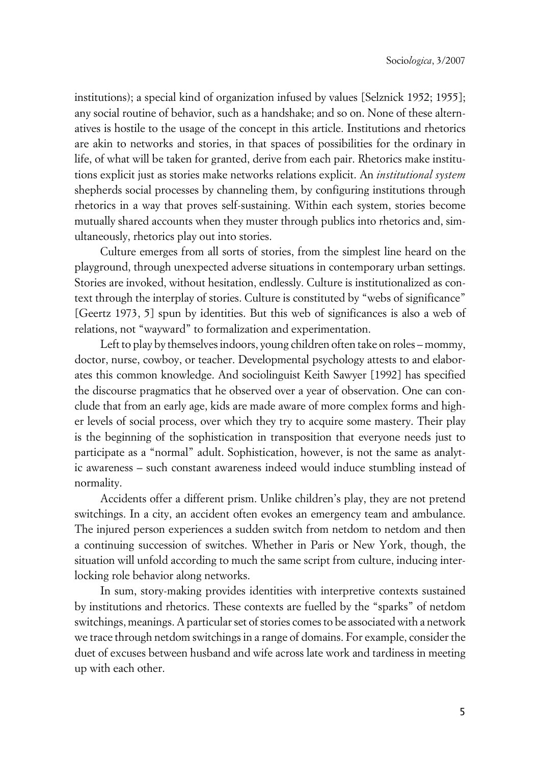institutions); a special kind of organization infused by values [Selznick 1952; 1955]; any social routine of behavior, such as a handshake; and so on. None of these alternatives is hostile to the usage of the concept in this article. Institutions and rhetorics are akin to networks and stories, in that spaces of possibilities for the ordinary in life, of what will be taken for granted, derive from each pair. Rhetorics make institutions explicit just as stories make networks relations explicit. An *institutional system* shepherds social processes by channeling them, by configuring institutions through rhetorics in a way that proves self-sustaining. Within each system, stories become mutually shared accounts when they muster through publics into rhetorics and, simultaneously, rhetorics play out into stories.

Culture emerges from all sorts of stories, from the simplest line heard on the playground, through unexpected adverse situations in contemporary urban settings. Stories are invoked, without hesitation, endlessly. Culture is institutionalized as context through the interplay of stories. Culture is constituted by "webs of significance" [Geertz 1973, 5] spun by identities. But this web of significances is also a web of relations, not "wayward" to formalization and experimentation.

Left to play by themselves indoors, young children often take on roles – mommy, doctor, nurse, cowboy, or teacher. Developmental psychology attests to and elaborates this common knowledge. And sociolinguist Keith Sawyer [1992] has specified the discourse pragmatics that he observed over a year of observation. One can conclude that from an early age, kids are made aware of more complex forms and higher levels of social process, over which they try to acquire some mastery. Their play is the beginning of the sophistication in transposition that everyone needs just to participate as a "normal" adult. Sophistication, however, is not the same as analytic awareness – such constant awareness indeed would induce stumbling instead of normality.

Accidents offer a different prism. Unlike children's play, they are not pretend switchings. In a city, an accident often evokes an emergency team and ambulance. The injured person experiences a sudden switch from netdom to netdom and then a continuing succession of switches. Whether in Paris or New York, though, the situation will unfold according to much the same script from culture, inducing interlocking role behavior along networks.

In sum, story-making provides identities with interpretive contexts sustained by institutions and rhetorics. These contexts are fuelled by the "sparks" of netdom switchings, meanings. A particular set of stories comes to be associated with a network we trace through netdom switchings in a range of domains. For example, consider the duet of excuses between husband and wife across late work and tardiness in meeting up with each other.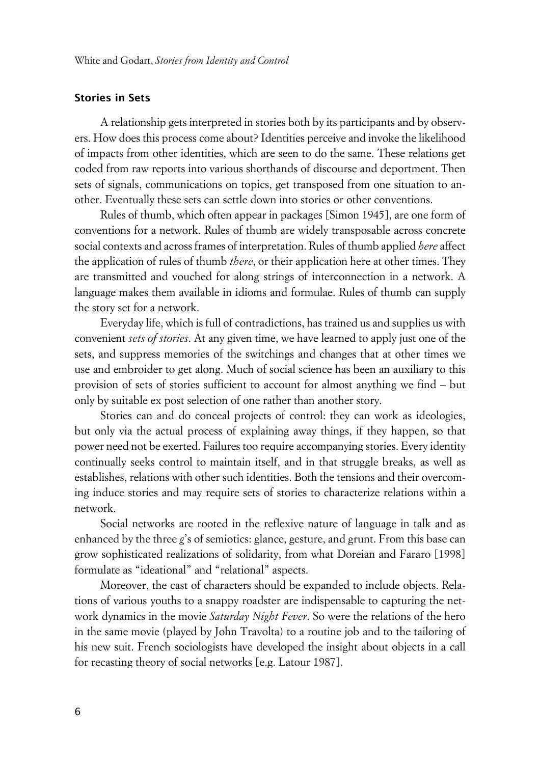#### **Stories in Sets**

A relationship gets interpreted in stories both by its participants and by observers. How does this process come about? Identities perceive and invoke the likelihood of impacts from other identities, which are seen to do the same. These relations get coded from raw reports into various shorthands of discourse and deportment. Then sets of signals, communications on topics, get transposed from one situation to another. Eventually these sets can settle down into stories or other conventions.

Rules of thumb, which often appear in packages [Simon 1945], are one form of conventions for a network. Rules of thumb are widely transposable across concrete social contexts and across frames of interpretation. Rules of thumb applied *here* affect the application of rules of thumb *there*, or their application here at other times. They are transmitted and vouched for along strings of interconnection in a network. A language makes them available in idioms and formulae. Rules of thumb can supply the story set for a network.

Everyday life, which is full of contradictions, has trained us and supplies us with convenient *sets of stories*. At any given time, we have learned to apply just one of the sets, and suppress memories of the switchings and changes that at other times we use and embroider to get along. Much of social science has been an auxiliary to this provision of sets of stories sufficient to account for almost anything we find – but only by suitable ex post selection of one rather than another story.

Stories can and do conceal projects of control: they can work as ideologies, but only via the actual process of explaining away things, if they happen, so that power need not be exerted. Failures too require accompanying stories. Every identity continually seeks control to maintain itself, and in that struggle breaks, as well as establishes, relations with other such identities. Both the tensions and their overcoming induce stories and may require sets of stories to characterize relations within a network.

Social networks are rooted in the reflexive nature of language in talk and as enhanced by the three *g*'s of semiotics: glance, gesture, and grunt. From this base can grow sophisticated realizations of solidarity, from what Doreian and Fararo [1998] formulate as "ideational" and "relational" aspects.

Moreover, the cast of characters should be expanded to include objects. Relations of various youths to a snappy roadster are indispensable to capturing the network dynamics in the movie *Saturday Night Fever*. So were the relations of the hero in the same movie (played by John Travolta) to a routine job and to the tailoring of his new suit. French sociologists have developed the insight about objects in a call for recasting theory of social networks [e.g. Latour 1987].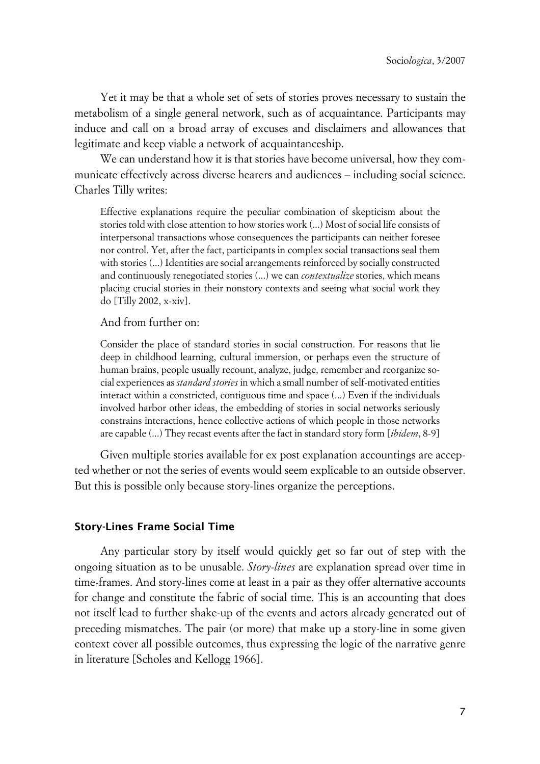Yet it may be that a whole set of sets of stories proves necessary to sustain the metabolism of a single general network, such as of acquaintance. Participants may induce and call on a broad array of excuses and disclaimers and allowances that legitimate and keep viable a network of acquaintanceship.

We can understand how it is that stories have become universal, how they communicate effectively across diverse hearers and audiences – including social science. Charles Tilly writes:

Effective explanations require the peculiar combination of skepticism about the stories told with close attention to how stories work (...) Most of social life consists of interpersonal transactions whose consequences the participants can neither foresee nor control. Yet, after the fact, participants in complex social transactions seal them with stories (...) Identities are social arrangements reinforced by socially constructed and continuously renegotiated stories (...) we can *contextualize* stories, which means placing crucial stories in their nonstory contexts and seeing what social work they do [Tilly 2002, x-xiv].

#### And from further on:

Consider the place of standard stories in social construction. For reasons that lie deep in childhood learning, cultural immersion, or perhaps even the structure of human brains, people usually recount, analyze, judge, remember and reorganize social experiences as *standard stories* in which a small number of self-motivated entities interact within a constricted, contiguous time and space (...) Even if the individuals involved harbor other ideas, the embedding of stories in social networks seriously constrains interactions, hence collective actions of which people in those networks are capable (...) They recast events after the fact in standard story form [*ibidem*, 8-9]

Given multiple stories available for ex post explanation accountings are accepted whether or not the series of events would seem explicable to an outside observer. But this is possible only because story-lines organize the perceptions.

#### **Story-Lines Frame Social Time**

Any particular story by itself would quickly get so far out of step with the ongoing situation as to be unusable. *Story-lines* are explanation spread over time in time-frames. And story-lines come at least in a pair as they offer alternative accounts for change and constitute the fabric of social time. This is an accounting that does not itself lead to further shake-up of the events and actors already generated out of preceding mismatches. The pair (or more) that make up a story-line in some given context cover all possible outcomes, thus expressing the logic of the narrative genre in literature [Scholes and Kellogg 1966].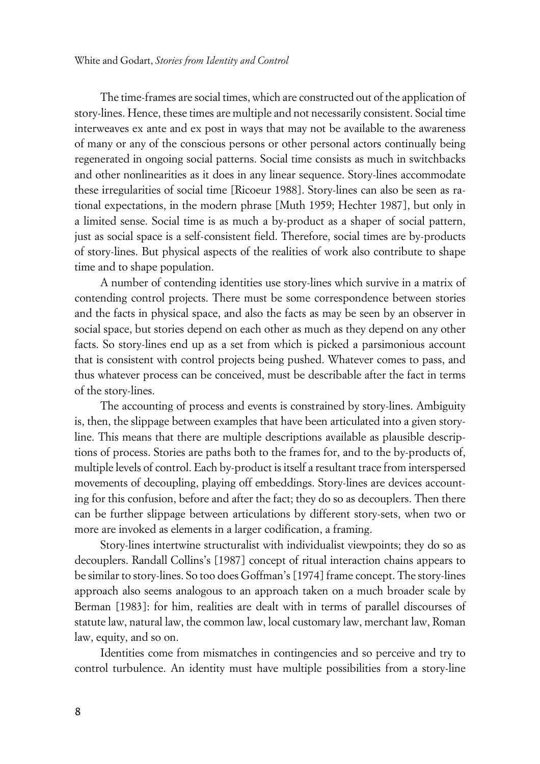The time-frames are social times, which are constructed out of the application of story-lines. Hence, these times are multiple and not necessarily consistent. Social time interweaves ex ante and ex post in ways that may not be available to the awareness of many or any of the conscious persons or other personal actors continually being regenerated in ongoing social patterns. Social time consists as much in switchbacks and other nonlinearities as it does in any linear sequence. Story-lines accommodate these irregularities of social time [Ricoeur 1988]. Story-lines can also be seen as rational expectations, in the modern phrase [Muth 1959; Hechter 1987], but only in a limited sense. Social time is as much a by-product as a shaper of social pattern, just as social space is a self-consistent field. Therefore, social times are by-products of story-lines. But physical aspects of the realities of work also contribute to shape time and to shape population.

A number of contending identities use story-lines which survive in a matrix of contending control projects. There must be some correspondence between stories and the facts in physical space, and also the facts as may be seen by an observer in social space, but stories depend on each other as much as they depend on any other facts. So story-lines end up as a set from which is picked a parsimonious account that is consistent with control projects being pushed. Whatever comes to pass, and thus whatever process can be conceived, must be describable after the fact in terms of the story-lines.

The accounting of process and events is constrained by story-lines. Ambiguity is, then, the slippage between examples that have been articulated into a given storyline. This means that there are multiple descriptions available as plausible descriptions of process. Stories are paths both to the frames for, and to the by-products of, multiple levels of control. Each by-product is itself a resultant trace from interspersed movements of decoupling, playing off embeddings. Story-lines are devices accounting for this confusion, before and after the fact; they do so as decouplers. Then there can be further slippage between articulations by different story-sets, when two or more are invoked as elements in a larger codification, a framing.

Story-lines intertwine structuralist with individualist viewpoints; they do so as decouplers. Randall Collins's [1987] concept of ritual interaction chains appears to be similar to story-lines. So too does Goffman's [1974] frame concept. The story-lines approach also seems analogous to an approach taken on a much broader scale by Berman [1983]: for him, realities are dealt with in terms of parallel discourses of statute law, natural law, the common law, local customary law, merchant law, Roman law, equity, and so on.

Identities come from mismatches in contingencies and so perceive and try to control turbulence. An identity must have multiple possibilities from a story-line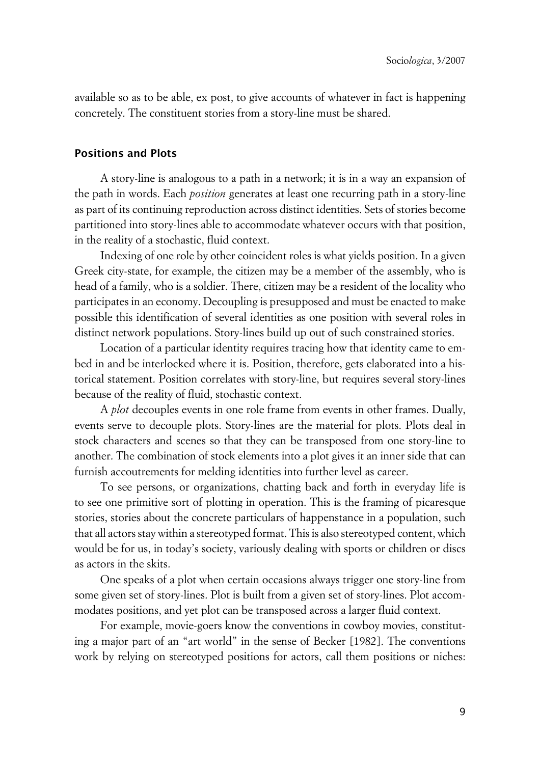available so as to be able, ex post, to give accounts of whatever in fact is happening concretely. The constituent stories from a story-line must be shared.

#### **xPositions and Plots**

A story-line is analogous to a path in a network; it is in a way an expansion of the path in words. Each *position* generates at least one recurring path in a story-line as part of its continuing reproduction across distinct identities. Sets of stories become partitioned into story-lines able to accommodate whatever occurs with that position, in the reality of a stochastic, fluid context.

Indexing of one role by other coincident roles is what yields position. In a given Greek city-state, for example, the citizen may be a member of the assembly, who is head of a family, who is a soldier. There, citizen may be a resident of the locality who participates in an economy. Decoupling is presupposed and must be enacted to make possible this identification of several identities as one position with several roles in distinct network populations. Story-lines build up out of such constrained stories.

Location of a particular identity requires tracing how that identity came to embed in and be interlocked where it is. Position, therefore, gets elaborated into a historical statement. Position correlates with story-line, but requires several story-lines because of the reality of fluid, stochastic context.

A *plot* decouples events in one role frame from events in other frames. Dually, events serve to decouple plots. Story-lines are the material for plots. Plots deal in stock characters and scenes so that they can be transposed from one story-line to another. The combination of stock elements into a plot gives it an inner side that can furnish accoutrements for melding identities into further level as career.

To see persons, or organizations, chatting back and forth in everyday life is to see one primitive sort of plotting in operation. This is the framing of picaresque stories, stories about the concrete particulars of happenstance in a population, such that all actors stay within a stereotyped format. This is also stereotyped content, which would be for us, in today's society, variously dealing with sports or children or discs as actors in the skits.

One speaks of a plot when certain occasions always trigger one story-line from some given set of story-lines. Plot is built from a given set of story-lines. Plot accommodates positions, and yet plot can be transposed across a larger fluid context.

For example, movie-goers know the conventions in cowboy movies, constituting a major part of an "art world" in the sense of Becker [1982]. The conventions work by relying on stereotyped positions for actors, call them positions or niches: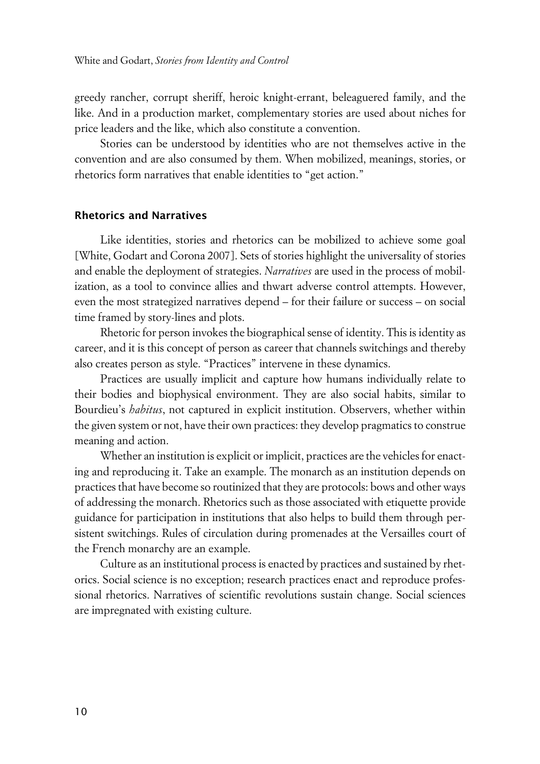greedy rancher, corrupt sheriff, heroic knight-errant, beleaguered family, and the like. And in a production market, complementary stories are used about niches for price leaders and the like, which also constitute a convention.

Stories can be understood by identities who are not themselves active in the convention and are also consumed by them. When mobilized, meanings, stories, or rhetorics form narratives that enable identities to "get action."

#### **xRhetorics and Narratives**

Like identities, stories and rhetorics can be mobilized to achieve some goal [White, Godart and Corona 2007]. Sets of stories highlight the universality of stories and enable the deployment of strategies. *Narratives* are used in the process of mobilization, as a tool to convince allies and thwart adverse control attempts. However, even the most strategized narratives depend – for their failure or success – on social time framed by story-lines and plots.

Rhetoric for person invokes the biographical sense of identity. This is identity as career, and it is this concept of person as career that channels switchings and thereby also creates person as style. "Practices" intervene in these dynamics.

Practices are usually implicit and capture how humans individually relate to their bodies and biophysical environment. They are also social habits, similar to Bourdieu's *habitus*, not captured in explicit institution. Observers, whether within the given system or not, have their own practices: they develop pragmatics to construe meaning and action.

Whether an institution is explicit or implicit, practices are the vehicles for enacting and reproducing it. Take an example. The monarch as an institution depends on practices that have become so routinized that they are protocols: bows and other ways of addressing the monarch. Rhetorics such as those associated with etiquette provide guidance for participation in institutions that also helps to build them through persistent switchings. Rules of circulation during promenades at the Versailles court of the French monarchy are an example.

Culture as an institutional process is enacted by practices and sustained by rhetorics. Social science is no exception; research practices enact and reproduce professional rhetorics. Narratives of scientific revolutions sustain change. Social sciences are impregnated with existing culture.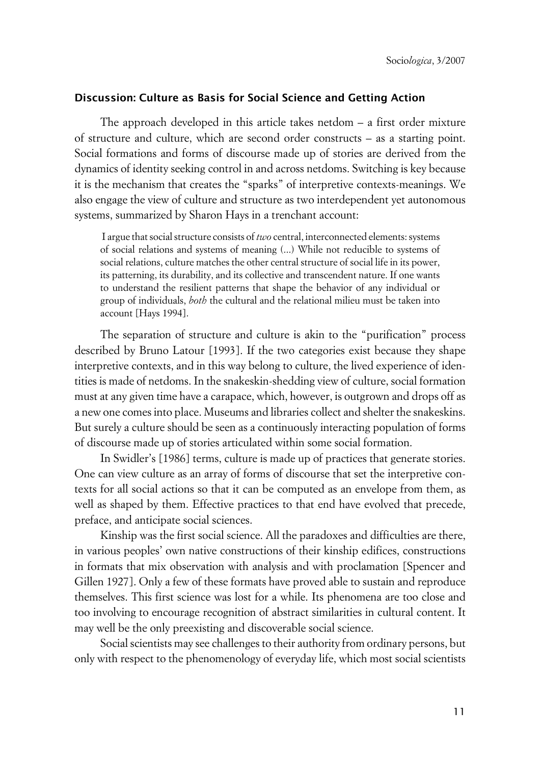#### **xDiscussion: Culture as Basis for Social Science and Getting Action**

The approach developed in this article takes netdom – a first order mixture of structure and culture, which are second order constructs – as a starting point. Social formations and forms of discourse made up of stories are derived from the dynamics of identity seeking control in and across netdoms. Switching is key because it is the mechanism that creates the "sparks" of interpretive contexts-meanings. We also engage the view of culture and structure as two interdependent yet autonomous systems, summarized by Sharon Hays in a trenchant account:

 I argue that social structure consists of *two* central, interconnected elements: systems of social relations and systems of meaning (...) While not reducible to systems of social relations, culture matches the other central structure of social life in its power, its patterning, its durability, and its collective and transcendent nature. If one wants to understand the resilient patterns that shape the behavior of any individual or group of individuals, *both* the cultural and the relational milieu must be taken into account [Hays 1994].

The separation of structure and culture is akin to the "purification" process described by Bruno Latour [1993]. If the two categories exist because they shape interpretive contexts, and in this way belong to culture, the lived experience of identities is made of netdoms. In the snakeskin-shedding view of culture, social formation must at any given time have a carapace, which, however, is outgrown and drops off as a new one comes into place. Museums and libraries collect and shelter the snakeskins. But surely a culture should be seen as a continuously interacting population of forms of discourse made up of stories articulated within some social formation.

In Swidler's [1986] terms, culture is made up of practices that generate stories. One can view culture as an array of forms of discourse that set the interpretive contexts for all social actions so that it can be computed as an envelope from them, as well as shaped by them. Effective practices to that end have evolved that precede, preface, and anticipate social sciences.

Kinship was the first social science. All the paradoxes and difficulties are there, in various peoples' own native constructions of their kinship edifices, constructions in formats that mix observation with analysis and with proclamation [Spencer and Gillen 1927]. Only a few of these formats have proved able to sustain and reproduce themselves. This first science was lost for a while. Its phenomena are too close and too involving to encourage recognition of abstract similarities in cultural content. It may well be the only preexisting and discoverable social science.

Social scientists may see challenges to their authority from ordinary persons, but only with respect to the phenomenology of everyday life, which most social scientists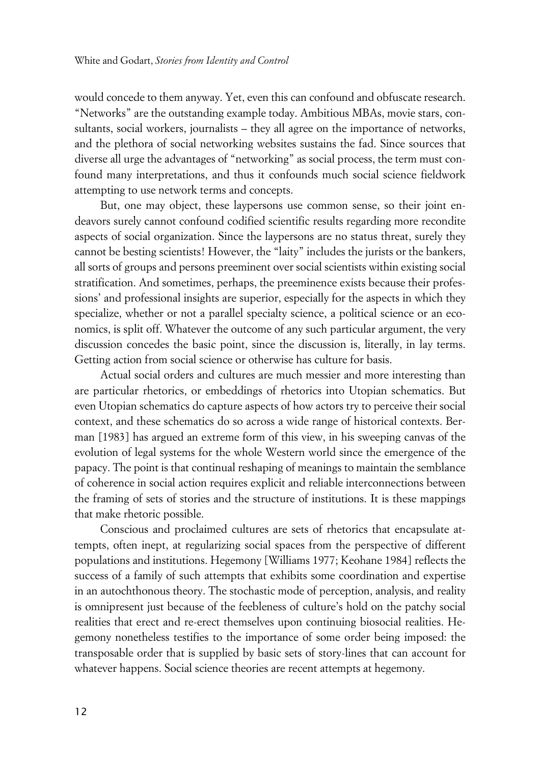would concede to them anyway. Yet, even this can confound and obfuscate research. "Networks" are the outstanding example today. Ambitious MBAs, movie stars, consultants, social workers, journalists – they all agree on the importance of networks, and the plethora of social networking websites sustains the fad. Since sources that diverse all urge the advantages of "networking" as social process, the term must confound many interpretations, and thus it confounds much social science fieldwork attempting to use network terms and concepts.

But, one may object, these laypersons use common sense, so their joint endeavors surely cannot confound codified scientific results regarding more recondite aspects of social organization. Since the laypersons are no status threat, surely they cannot be besting scientists! However, the "laity" includes the jurists or the bankers, all sorts of groups and persons preeminent over social scientists within existing social stratification. And sometimes, perhaps, the preeminence exists because their professions' and professional insights are superior, especially for the aspects in which they specialize, whether or not a parallel specialty science, a political science or an economics, is split off. Whatever the outcome of any such particular argument, the very discussion concedes the basic point, since the discussion is, literally, in lay terms. Getting action from social science or otherwise has culture for basis.

Actual social orders and cultures are much messier and more interesting than are particular rhetorics, or embeddings of rhetorics into Utopian schematics. But even Utopian schematics do capture aspects of how actors try to perceive their social context, and these schematics do so across a wide range of historical contexts. Berman [1983] has argued an extreme form of this view, in his sweeping canvas of the evolution of legal systems for the whole Western world since the emergence of the papacy. The point is that continual reshaping of meanings to maintain the semblance of coherence in social action requires explicit and reliable interconnections between the framing of sets of stories and the structure of institutions. It is these mappings that make rhetoric possible.

Conscious and proclaimed cultures are sets of rhetorics that encapsulate attempts, often inept, at regularizing social spaces from the perspective of different populations and institutions. Hegemony [Williams 1977; Keohane 1984] reflects the success of a family of such attempts that exhibits some coordination and expertise in an autochthonous theory. The stochastic mode of perception, analysis, and reality is omnipresent just because of the feebleness of culture's hold on the patchy social realities that erect and re-erect themselves upon continuing biosocial realities. Hegemony nonetheless testifies to the importance of some order being imposed: the transposable order that is supplied by basic sets of story-lines that can account for whatever happens. Social science theories are recent attempts at hegemony.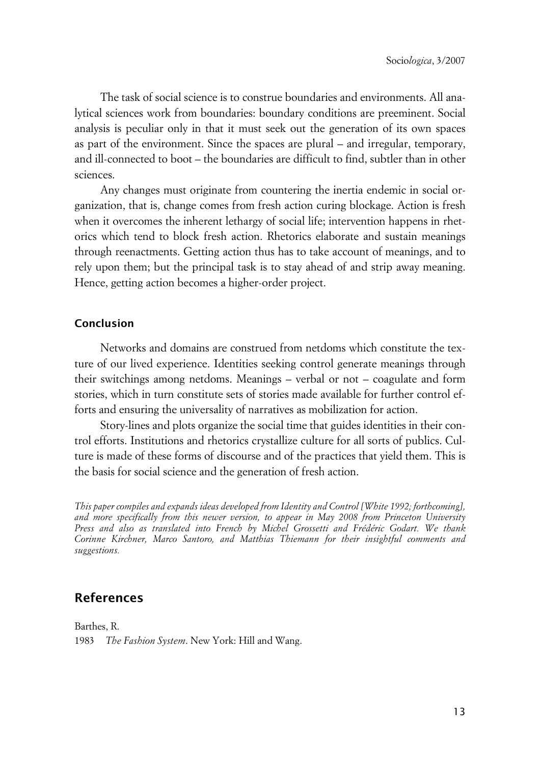The task of social science is to construe boundaries and environments. All analytical sciences work from boundaries: boundary conditions are preeminent. Social analysis is peculiar only in that it must seek out the generation of its own spaces as part of the environment. Since the spaces are plural – and irregular, temporary, and ill-connected to boot – the boundaries are difficult to find, subtler than in other sciences.

Any changes must originate from countering the inertia endemic in social organization, that is, change comes from fresh action curing blockage. Action is fresh when it overcomes the inherent lethargy of social life; intervention happens in rhetorics which tend to block fresh action. Rhetorics elaborate and sustain meanings through reenactments. Getting action thus has to take account of meanings, and to rely upon them; but the principal task is to stay ahead of and strip away meaning. Hence, getting action becomes a higher-order project.

#### **Conclusion**

Networks and domains are construed from netdoms which constitute the texture of our lived experience. Identities seeking control generate meanings through their switchings among netdoms. Meanings – verbal or not – coagulate and form stories, which in turn constitute sets of stories made available for further control efforts and ensuring the universality of narratives as mobilization for action.

Story-lines and plots organize the social time that guides identities in their control efforts. Institutions and rhetorics crystallize culture for all sorts of publics. Culture is made of these forms of discourse and of the practices that yield them. This is the basis for social science and the generation of fresh action.

*This paper compiles and expands ideas developed from Identity and Control [White 1992; forthcoming], and more specifically from this newer version, to appear in May 2008 from Princeton University Press and also as translated into French by Michel Grossetti and Frédéric Godart. We thank Corinne Kirchner, Marco Santoro, and Matthias Thiemann for their insightful comments and suggestions.*

## **References**

Barthes, R. 1983 *The Fashion System*. New York: Hill and Wang.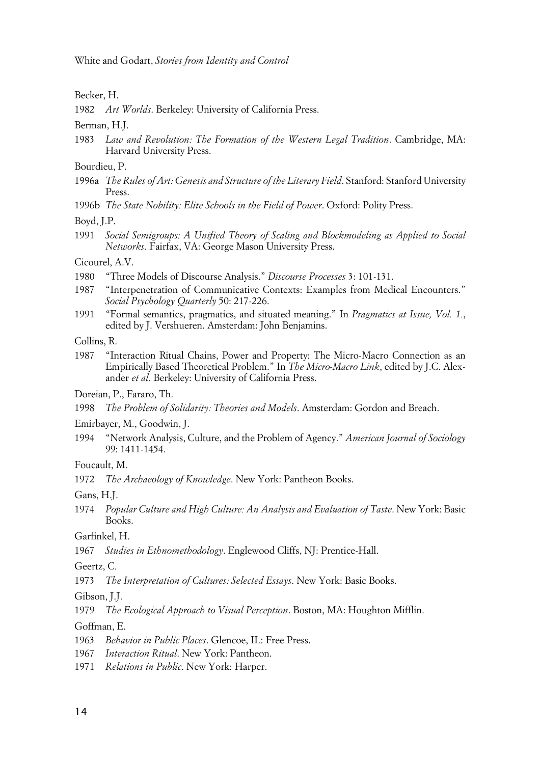White and Godart, *Stories from Identity and Control*

Becker, H.

1982 *Art Worlds*. Berkeley: University of California Press.

Berman, H.J.

1983 *Law and Revolution: The Formation of the Western Legal Tradition*. Cambridge, MA: Harvard University Press.

Bourdieu, P.

- 1996a *The Rules of Art: Genesis and Structure of the Literary Field*. Stanford: Stanford University Press.
- 1996b *The State Nobility: Elite Schools in the Field of Power*. Oxford: Polity Press.

Boyd, J.P.

1991 *Social Semigroups: A Unified Theory of Scaling and Blockmodeling as Applied to Social Networks*. Fairfax, VA: George Mason University Press.

Cicourel, A.V.

- 1980 "Three Models of Discourse Analysis." *Discourse Processes* 3: 101-131.
- 1987 "Interpenetration of Communicative Contexts: Examples from Medical Encounters." *Social Psychology Quarterly* 50: 217-226.
- 1991 "Formal semantics, pragmatics, and situated meaning." In *Pragmatics at Issue, Vol. 1.*, edited by J. Vershueren. Amsterdam: John Benjamins.

Collins, R.

1987 "Interaction Ritual Chains, Power and Property: The Micro-Macro Connection as an Empirically Based Theoretical Problem." In *The Micro-Macro Link*, edited by J.C. Alexander *et al*. Berkeley: University of California Press.

Doreian, P., Fararo, Th.

1998 *The Problem of Solidarity: Theories and Models*. Amsterdam: Gordon and Breach.

Emirbayer, M., Goodwin, J.

1994 "Network Analysis, Culture, and the Problem of Agency." *American Journal of Sociology* 99: 1411-1454.

Foucault, M.

1972 *The Archaeology of Knowledge*. New York: Pantheon Books.

Gans, H.J.

1974 *Popular Culture and High Culture: An Analysis and Evaluation of Taste*. New York: Basic Books.

Garfinkel, H.

1967 *Studies in Ethnomethodology*. Englewood Cliffs, NJ: Prentice-Hall.

Geertz, C.

1973 *The Interpretation of Cultures: Selected Essays*. New York: Basic Books.

Gibson, J.J.

1979 *The Ecological Approach to Visual Perception*. Boston, MA: Houghton Mifflin.

Goffman, E.

- 1963 *Behavior in Public Places*. Glencoe, IL: Free Press.
- 1967 *Interaction Ritual*. New York: Pantheon.
- 1971 *Relations in Public*. New York: Harper.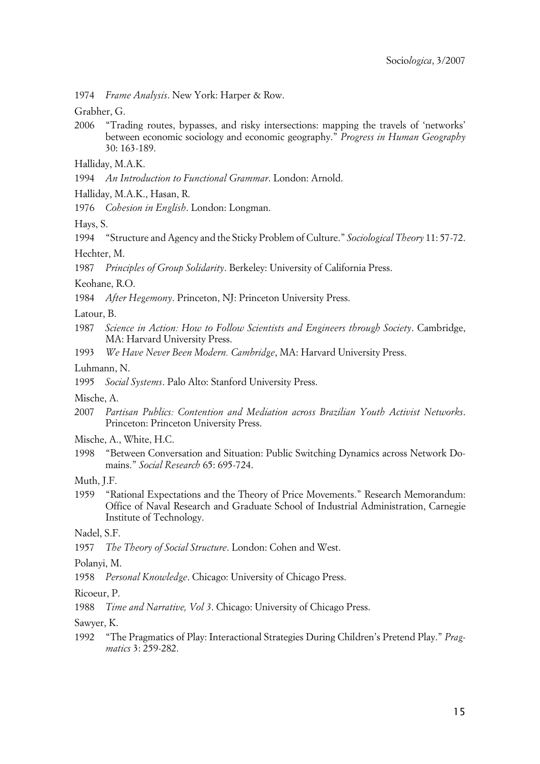1974 *Frame Analysis*. New York: Harper & Row.

Grabher, G.

2006 "Trading routes, bypasses, and risky intersections: mapping the travels of 'networks' between economic sociology and economic geography." *Progress in Human Geography* 30: 163-189.

Halliday, M.A.K.

1994 *An Introduction to Functional Grammar*. London: Arnold.

Halliday, M.A.K., Hasan, R.

1976 *Cohesion in English*. London: Longman.

Hays, S.

1994 "Structure and Agency and the Sticky Problem of Culture." *Sociological Theory* 11: 57-72. Hechter, M.

1987 *Principles of Group Solidarity*. Berkeley: University of California Press.

Keohane, R.O.

1984 *After Hegemony*. Princeton, NJ: Princeton University Press.

Latour, B.

- 1987 *Science in Action: How to Follow Scientists and Engineers through Society*. Cambridge, MA: Harvard University Press.
- 1993 *We Have Never Been Modern. Cambridge*, MA: Harvard University Press.

Luhmann, N.

1995 *Social Systems*. Palo Alto: Stanford University Press.

Mische, A.

- 2007 *Partisan Publics: Contention and Mediation across Brazilian Youth Activist Networks*. Princeton: Princeton University Press.
- Mische, A., White, H.C.
- 1998 "Between Conversation and Situation: Public Switching Dynamics across Network Domains." *Social Research* 65: 695-724.

Muth, J.F.

1959 "Rational Expectations and the Theory of Price Movements." Research Memorandum: Office of Naval Research and Graduate School of Industrial Administration, Carnegie Institute of Technology.

Nadel, S.F.

1957 *The Theory of Social Structure*. London: Cohen and West.

Polanyi, M.

1958 *Personal Knowledge*. Chicago: University of Chicago Press.

#### Ricoeur, P.

1988 *Time and Narrative, Vol 3*. Chicago: University of Chicago Press.

Sawyer, K.

1992 "The Pragmatics of Play: Interactional Strategies During Children's Pretend Play." *Pragmatics* 3: 259-282.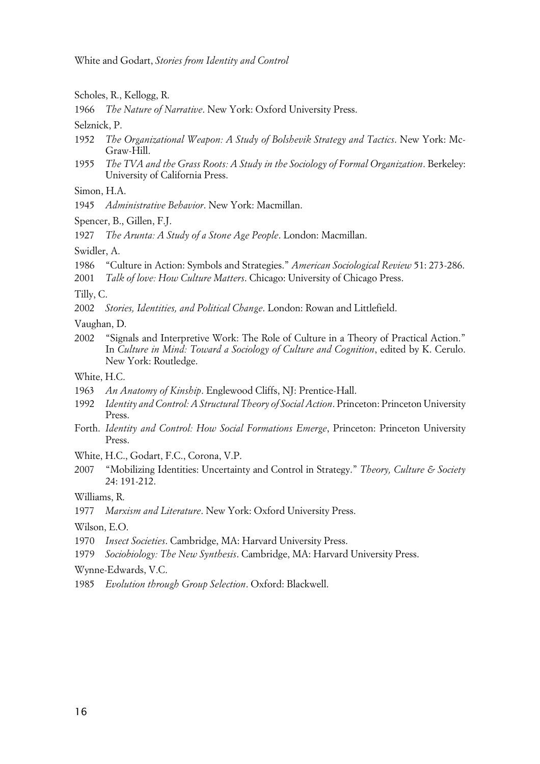White and Godart, *Stories from Identity and Control*

Scholes, R., Kellogg, R.

1966 *The Nature of Narrative*. New York: Oxford University Press.

Selznick, P.

- 1952 *The Organizational Weapon: A Study of Bolshevik Strategy and Tactics*. New York: Mc-Graw-Hill.
- 1955 *The TVA and the Grass Roots: A Study in the Sociology of Formal Organization*. Berkeley: University of California Press.
- Simon, H.A.
- 1945 *Administrative Behavior*. New York: Macmillan.
- Spencer, B., Gillen, F.J.

1927 *The Arunta: A Study of a Stone Age People*. London: Macmillan.

Swidler, A.

- 1986 "Culture in Action: Symbols and Strategies." *American Sociological Review* 51: 273-286.
- 2001 *Talk of love: How Culture Matters*. Chicago: University of Chicago Press.

Tilly, C.

2002 *Stories, Identities, and Political Change*. London: Rowan and Littlefield.

Vaughan, D.

2002 "Signals and Interpretive Work: The Role of Culture in a Theory of Practical Action." In *Culture in Mind: Toward a Sociology of Culture and Cognition*, edited by K. Cerulo. New York: Routledge.

White, H.C.

- 1963 *An Anatomy of Kinship*. Englewood Cliffs, NJ: Prentice-Hall.
- 1992 *Identity and Control: A Structural Theory of Social Action*. Princeton: Princeton University Press.
- Forth. *Identity and Control: How Social Formations Emerge*, Princeton: Princeton University Press.

White, H.C., Godart, F.C., Corona, V.P.

2007 "Mobilizing Identities: Uncertainty and Control in Strategy." *Theory, Culture & Society* 24: 191-212.

Williams, R.

1977 *Marxism and Literature*. New York: Oxford University Press.

Wilson, E.O.

- 1970 *Insect Societies*. Cambridge, MA: Harvard University Press.
- 1979 *Sociobiology: The New Synthesis*. Cambridge, MA: Harvard University Press.

Wynne-Edwards, V.C.

1985 *Evolution through Group Selection*. Oxford: Blackwell.